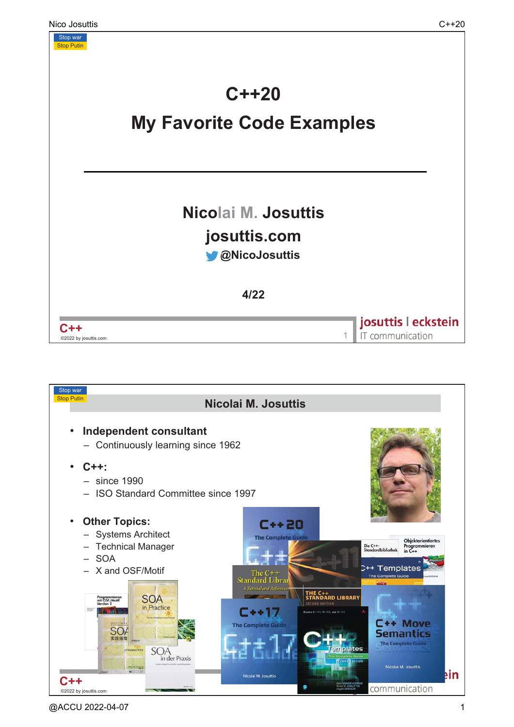

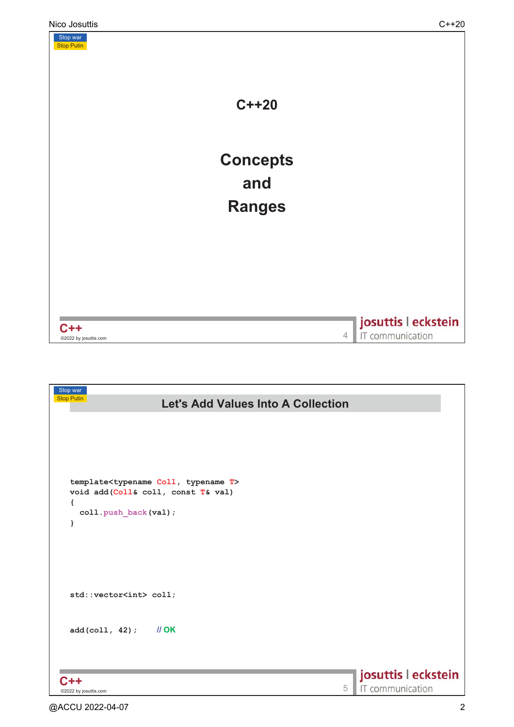

| Stop war<br><b>Stop Putin</b>                            |   |                     |
|----------------------------------------------------------|---|---------------------|
| <b>Let's Add Values Into A Collection</b>                |   |                     |
|                                                          |   |                     |
|                                                          |   |                     |
|                                                          |   |                     |
|                                                          |   |                     |
|                                                          |   |                     |
| template <typename coll,="" t="" typename=""></typename> |   |                     |
| void add (Coll& coll, const T& val)                      |   |                     |
| €                                                        |   |                     |
| coll.push_back(val);                                     |   |                     |
| }                                                        |   |                     |
|                                                          |   |                     |
|                                                          |   |                     |
|                                                          |   |                     |
|                                                          |   |                     |
| std::vector <int> coll;</int>                            |   |                     |
|                                                          |   |                     |
|                                                          |   |                     |
| $add(coll, 42)$ ; $  OK$                                 |   |                     |
|                                                          |   |                     |
|                                                          |   |                     |
|                                                          |   |                     |
| $C++$                                                    |   | josuttis   eckstein |
| ©2022 by josuttis.com                                    | 5 | IT communication    |
| @ACCU 2022-04-07                                         |   |                     |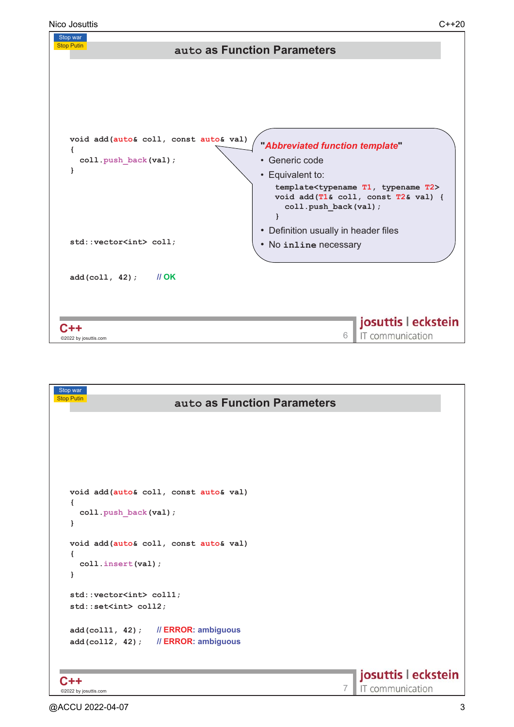

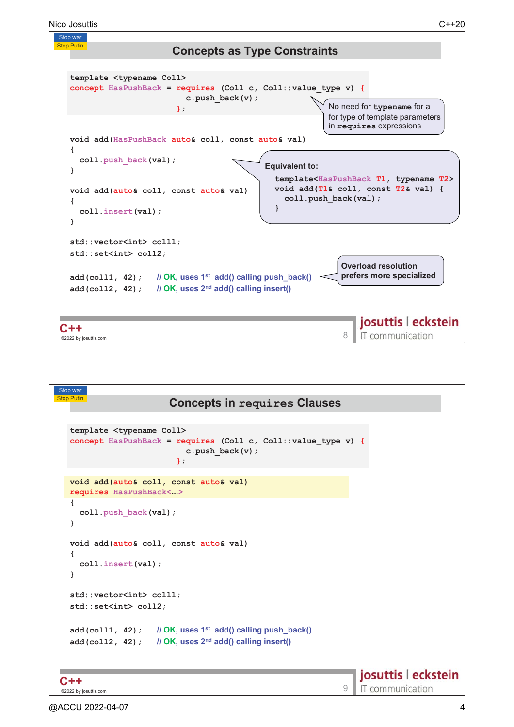

```
Stop war
Stop Putin
                           \bf{Concepts} in \bf{requestS} \bf{Concepts}template <typename Coll>
  concept HasPushBack = requires (Coll c, Coll::value_type v) {
                               c.push_back(v);
                            };
  void add(auto& coll, const auto& val)
  requires HasPushBack<>
   {
     coll.push_back(val);
  }
  void add(auto& coll, const auto& val)
   {
     coll.insert(val);
   }
  std::vector<int> coll1;
  std::set<int> coll2;
  add(coll1, 42); 
                          \mathsf{OK}, \mathsf{uses}~\mathsf{1}^{\mathsf{st}}~\mathsf{add}() calling push_back()
   add (coll2, 42);  // OK, uses 2^{\text{nd}} add() calling insert()
                                                                         josuttis | eckstein
C++C++ 9<br>©2022 by iosuttis.com 9
                                                                         IT communication
 ©2022 by josuttis
```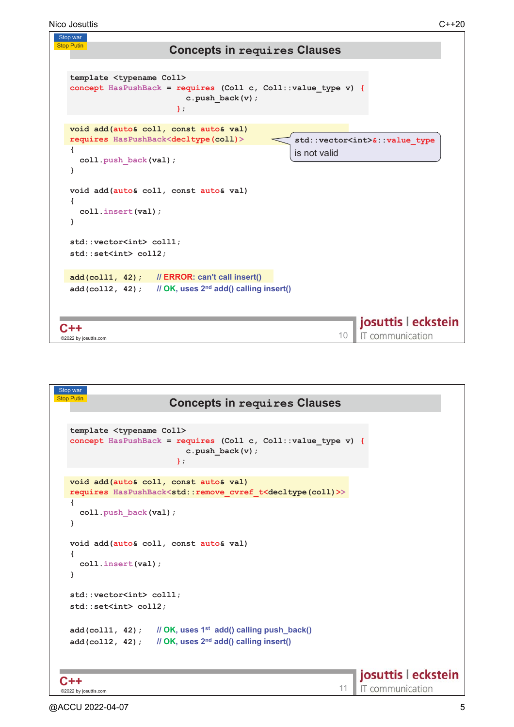```
Nico Josuttis C++20
```


```
Stop war
Stop Putin
                                  \bf{Concepts} in \bf{requestS} \bf{Concepts}template <typename Coll>
   concept HasPushBack = requires (Coll c, Coll::value_type v) {
                                       c.push_back(v);
                                    };
   void add(auto& coll, const auto& val)
   requires HasPushBack<std::remove_cvref_t<decltype(coll)>>
   {
      coll.push_back(val);
   }
   void add(auto& coll, const auto& val)
   {
      coll.insert(val);
   }
   std::vector<int> coll1;
   std::set<int> coll2;
   add(coll1, 42); 
                                 \mathsf{OK}, \mathsf{uses}~\mathsf{1}^{\mathsf{st}}~\mathsf{add}() calling push_back()
    add (coll2, 42);  // OK, uses 2^{\text{nd}} add() calling insert()
                                                                                            josuttis | eckstein
C++C++ 2022 by iosuttis.com 2022 and 2022 by iosuttis.com 2022 by iosuttis.com 2022 by iosuttis.com 2022 by iosuttis.com 2022 and 2022 by iosuttis.com 2022 and 2022 and 2022 and 2022 and 2022 and 2022 and 2022 and 2022 and
                                                                                            IT communication
 ©2022 by josuttis
```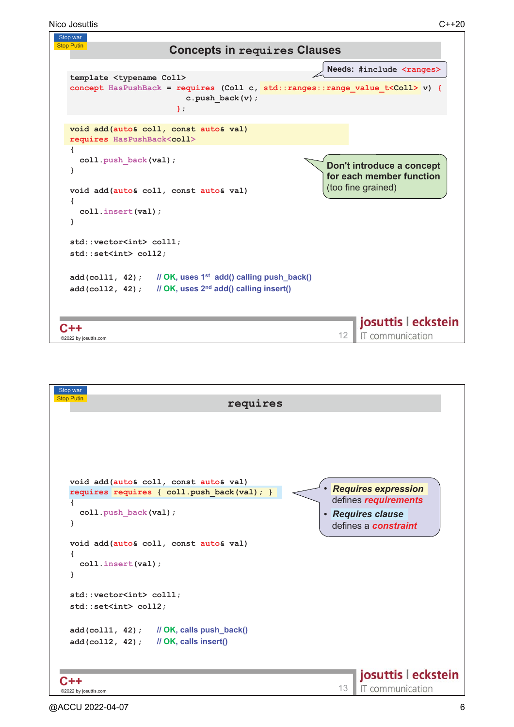```
Nico Josuttis C++20
```


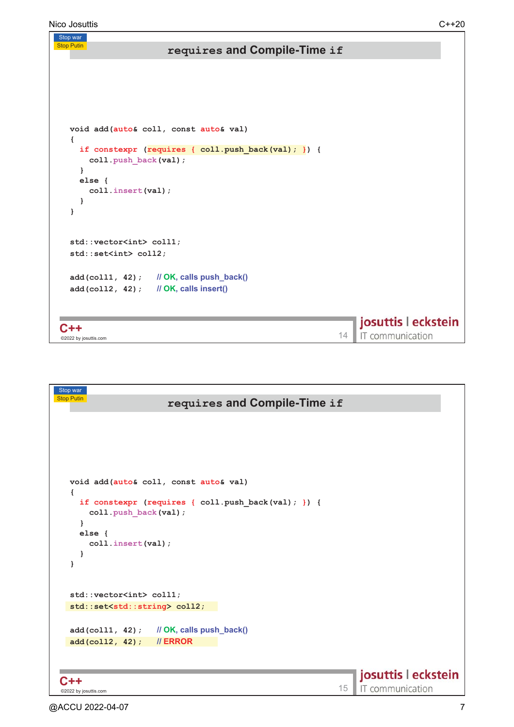```
Nico Josuttis C++20
  Stop war
  Stop Putin
                                      \bf requires and Compile-Time if
      void add(auto& coll, const auto& val) 
      {
         if constexpr (requires {\text{coll. push back}(val); }) {
            coll.push_back(val);
         }
         else {
            coll.insert(val);
         }
      }
      std::vector<int> coll1;
      std::set<int> coll2;
       add(coll1, 42); 
$-1

 %50	634
       add (co112, 42);   // OK, calls insert()
                                                                                                  josuttis | eckstein
   C++C + + \overline{ } \overline{ } \overline{ } \overline{ } \overline{ } \overline{ } \overline{ } \overline{ } \overline{ } \overline{ } \overline{ } \overline{ } \overline{ } \overline{ } \overline{ } \overline{ } \overline{ } \overline{ } \overline{ } \overline{ } \overline{ } \overline{ } \overline{ } \overline{ } \overline{ } \overline{ } \overline{IT communication
    _<br>©2022 by josuttis
```

```
Stop war
Stop Putin
                                        \bf requires and Compile-Time if
    void add(auto& coll, const auto& val) 
    {
       if constexpr (requires { coll.push_back(val); }) { 
          coll.push_back(val);
       }
       else {
          coll.insert(val);
       }
    }
    std::vector<int> coll1;
   std::set<std::string> coll2;
     add(coll1, 42); 
$-1

 %50	634
     add(coll2, 42); 
''$'
                                                                                                            josuttis | eckstein
 C++C + + \overline{ } \overline{ } \overline{ } \overline{ } \overline{ } \overline{ } \overline{ } \overline{ } \overline{ } \overline{ } \overline{ } \overline{ } \overline{ } \overline{ } \overline{ } \overline{ } \overline{ } \overline{ } \overline{ } \overline{ } \overline{ } \overline{ } \overline{ } \overline{ } \overline{ } \overline{ } \overline{IT communication
 ©2022 by josuttis
```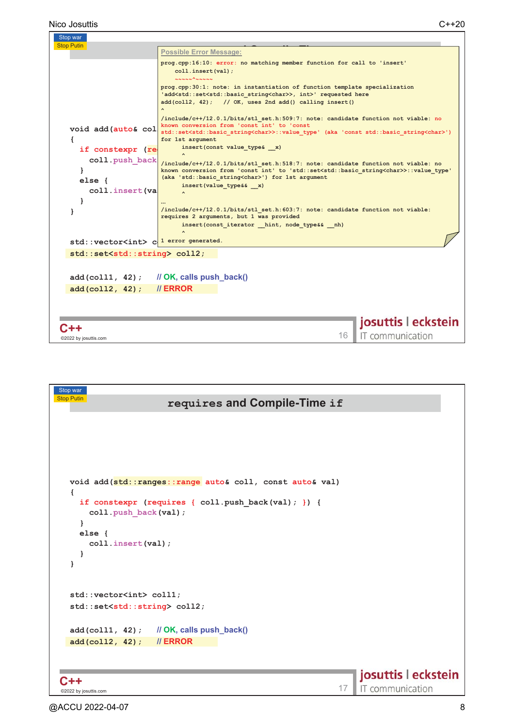

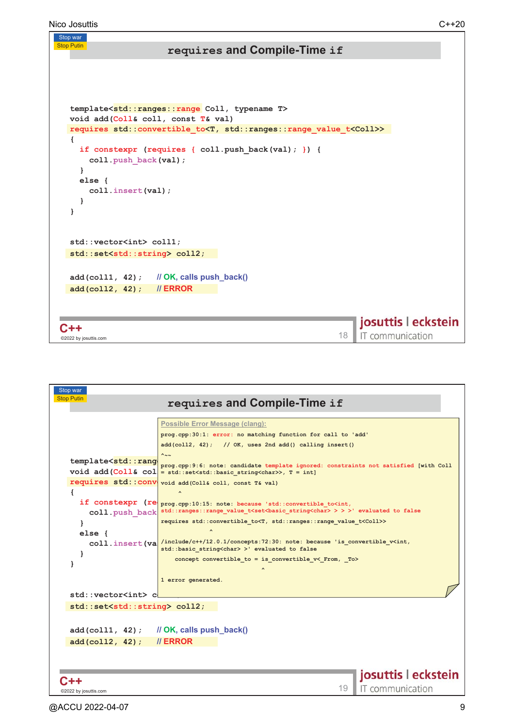Stop Putin

| template <std::ranges::range coll,="" t="" typename=""></std::ranges::range>        |
|-------------------------------------------------------------------------------------|
| void add (Coll& coll, const T& val)                                                 |
| requires std::convertible to <t, std::ranges::range="" t<coll="" value="">&gt;</t,> |
|                                                                                     |
| if constexpr (requires { $coll.push back(val);$ }) {                                |
| coll.push back(val);                                                                |
| ł                                                                                   |
| else<br>coll.insert(val);                                                           |
|                                                                                     |
|                                                                                     |
|                                                                                     |
|                                                                                     |
| std::vector <int> coll1;</int>                                                      |
| std::set <std::string> coll2;</std::string>                                         |
|                                                                                     |
| $add(coll1, 42)$ ; // OK, calls push_back()                                         |
| // ERROR<br>$add(coll2, 42)$ ;                                                      |
|                                                                                     |
|                                                                                     |
| josuttis   eckstein                                                                 |
| C++<br>IT communication<br>18                                                       |
| ©2022 by josuttis.com                                                               |

| Stop war<br><b>Stop Putin</b>                                          |                                                                                                                                     |  |
|------------------------------------------------------------------------|-------------------------------------------------------------------------------------------------------------------------------------|--|
|                                                                        | requires and Compile-Time if                                                                                                        |  |
|                                                                        | <b>Possible Error Message (clang):</b>                                                                                              |  |
|                                                                        | prog.cpp:30:1: error: no matching function for call to 'add'                                                                        |  |
|                                                                        | $add(coll2, 42);$ // OK, uses 2nd $add()$ calling insert()                                                                          |  |
| template <std::rang< th=""><th><math>\sim\sim</math></th></std::rang<> | $\sim\sim$                                                                                                                          |  |
|                                                                        | prog.cpp:9:6: note: candidate template ignored: constraints not satisfied [with Coll<br>void add $ Coll& col  = std::set>, T = int$ |  |
|                                                                        | requires std:: conv void add (Coll& coll, const T& val)                                                                             |  |
|                                                                        | $\sim$                                                                                                                              |  |
|                                                                        | if constexpr (re prog.cpp:10:15: note: because 'std::convertible_to <int,< th=""></int,<>                                           |  |
| coll.push back                                                         | std::ranges::range value t <set<br></set<br> basic string <char>&gt;&gt;&gt;&gt;&gt;&gt;' evaluated to false</char>                 |  |
|                                                                        | requires std:: convertible to <t, range="" ranges::="" std::="" t<coll="" value="">&gt;</t,>                                        |  |
| else f                                                                 | /include/c++/12.0.1/concepts:72:30: note: because 'is convertible v <int,< th=""></int,<>                                           |  |
| coll.insert(va<br>ł                                                    | std: : basic string <char> &gt;' evaluated to false</char>                                                                          |  |
|                                                                        | concept convertible to = is convertible $v$ < From, To>                                                                             |  |
|                                                                        |                                                                                                                                     |  |
|                                                                        | 1 error generated.                                                                                                                  |  |
| std::vector <int> c</int>                                              |                                                                                                                                     |  |
| std::set <std::string> coll2;</std::string>                            |                                                                                                                                     |  |
|                                                                        |                                                                                                                                     |  |
|                                                                        | $add(coll1, 42)$ ; // OK, calls push back()                                                                                         |  |
| add(coll2, 42);                                                        | $\frac{1}{2}$ ERROR                                                                                                                 |  |
|                                                                        |                                                                                                                                     |  |
|                                                                        |                                                                                                                                     |  |
|                                                                        | josuttis   eckstein                                                                                                                 |  |
| @2022 by josuttis.com                                                  | IT communication<br>19                                                                                                              |  |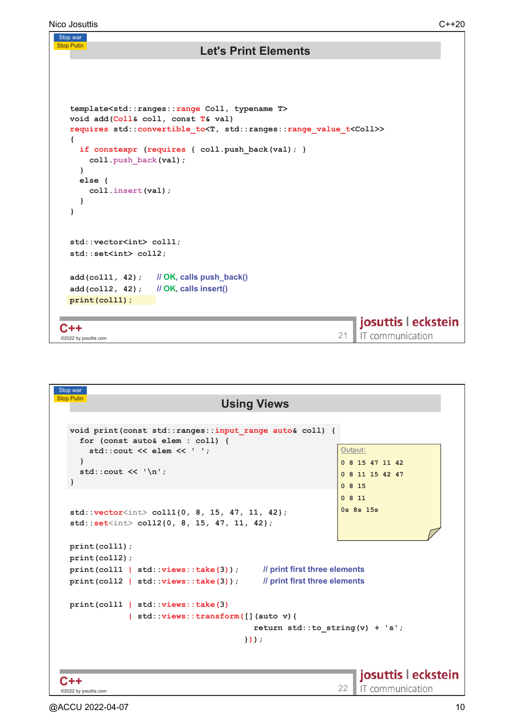```
Nico Josuttis C++20
 Stop war
 Stop Putin
                             Let's Print Elements
   template<std::ranges::range Coll, typename T>
   void add(Coll& coll, const T& val) 
   requires std::convertible_to<T, std::ranges::range_value_t<Coll>>
    {
     if constexpr (requires { coll.push_back(val); } 
       coll.push_back(val);
     }
     else {
       coll.insert(val);
     }
   }
   std::vector<int> coll1;
   std::set<int> coll2;
   add(coll1, 42); 
                      OK, calls push_back()
   add(coll2, 42); 
                      OK, calls insert()
   print(coll1);
                                                          josuttis | eckstein
  C++C++<br>©2022 by iosuttis.com 2.1
                                                          IT communication
  _<br>©2022 by josuttis
```

```
Stop war
Stop Putin
                                   Using Views
  void print(const std::ranges::input_range auto& coll) {
    for (const auto& elem : coll) {
                                                             Output:
      std::cout << elem << ' ';
    }
                                                             0 8 15 47 11 42 
    std::cout << '\n';
                                                             0 8 11 15 42 47 
  }
                                                             0 8 15 
                                                             0 8 11 
                                                             0s 8s 15s 
  std::vector<int> coll1{0, 8, 15, 47, 11, 42};
  std::set<int> coll2{0, 8, 15, 47, 11, 42};
  print(coll1);
  print(coll2);
  print(coll1 | std::views::take(3)); 
                                              print first three elements
  print(coll2 | std::views::take(3)); 
                                              print first three elements
  print(coll1 | std::views::take(3)
               | std::views::transform([](auto v){
                                          return std::to_string(v) + 's';
                                        }));
                                                                 josuttis | eckstein
C++C++<br>©2022 by iosuttis.com 22
                                                                 IT communication
©2022 by josuttis
```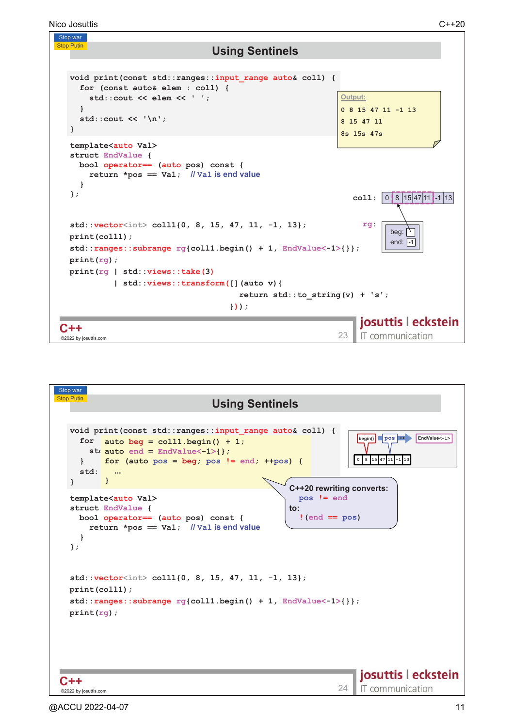Nico Josuttis C++20



```
Stop war
Stop Putin
                                                 Using Sentinels
   void print(const std::ranges::input_range auto& coll) {
                                                                                              begin() pos H
                                                                                                                EndValue<-1>
       for \quad \text{auto } beg = \text{coll1.begin() } + 1;\mathsf{st}_i auto end = \mathsf{EndValue}\text{-1}\text{-1} ;
                                                                                             0 8 15 47 11 -1 13
              for (auto pos = beg; pos != end; ++pos) {
      }
      std:
                 
              }
   }
                                                                         C++20 rewriting converts:
   template<auto Val>
                                                                           pos != end
   struct EndValue {
                                                                        #
      bool operator== (auto pos) const {
                                                                            !(end == pos)
          return *pos == Val; 
Val 
"

      }
   };
   std::vector<int> coll1{0, 8, 15, 47, 11, -1, 13};
   print(coll1);
   std::ranges::subrange rg{coll1.begin() + 1, EndValue<-1>{}};
   print(rg);
                                                                                              josuttis | eckstein
C++C + + \overline{C} and \overline{C} are \overline{C} and \overline{C} and \overline{C} are \overline{C} and \overline{C} and \overline{C} and \overline{C} and \overline{C} and \overline{C} and \overline{C} and \overline{C} and \overline{C} and \overline{C} and \overline{C} and \overline{IT communication
 ©2022 by josuttis
```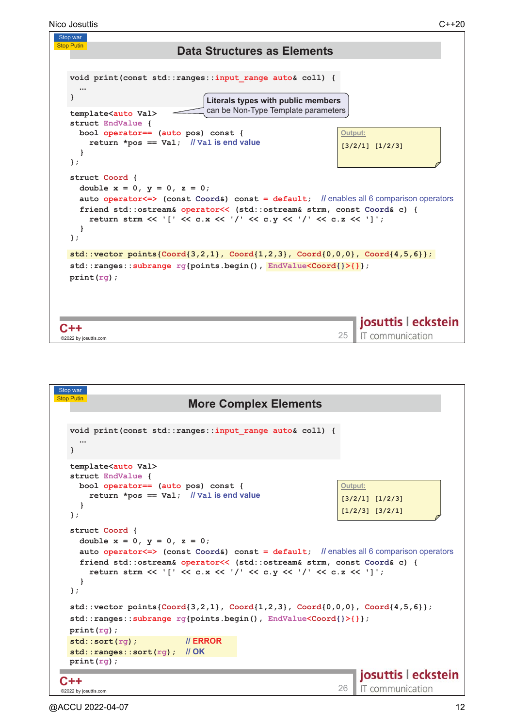```
Nico Josuttis C++20
```


| Stop war                                                                                                                                                                                                                                                                                                     |                                               |
|--------------------------------------------------------------------------------------------------------------------------------------------------------------------------------------------------------------------------------------------------------------------------------------------------------------|-----------------------------------------------|
| Stop Putin<br><b>More Complex Elements</b>                                                                                                                                                                                                                                                                   |                                               |
|                                                                                                                                                                                                                                                                                                              |                                               |
| void print (const std:: ranges:: input range auto& coll) {<br>$\cdots$                                                                                                                                                                                                                                       |                                               |
| template <auto val=""><br/>struct EndValue {<br/>bool operator== (auto pos) const {</auto>                                                                                                                                                                                                                   | Output:                                       |
| return *pos == $Val$ ; // Val is end value                                                                                                                                                                                                                                                                   | $[3/2/1]$ $[1/2/3]$                           |
| ł<br>$\}$ ;                                                                                                                                                                                                                                                                                                  | $[1/2/3]$ $[3/2/1]$                           |
| struct Coord {<br>double $x = 0$ , $y = 0$ , $z = 0$ ;<br>auto operator <= > (const Coord&) const = default; // enables all 6 comparison operators<br>friend std::ostream& operator<< (std::ostream& strm, const Coord& c) {<br>return strm << '[' << c.x << '/' << c.y << '/' << c.z << ']';<br>ł<br>$\}$ ; |                                               |
| $std::vector points{Coord}{3,2,1}, Cord{1,2,3}, Cord{0,0,0}, Cord{4,5,6}};$<br>$std::range::subrange\ rq[points.begin]), EndValue<$ Coord $\{\}\}[$ ;<br>$print(rg)$ ;                                                                                                                                       |                                               |
| <b>II ERROR</b><br>$std::sort(rq)$ ;<br>std::ranges::sort(rg); // OK                                                                                                                                                                                                                                         |                                               |
| $print(rg)$ ;                                                                                                                                                                                                                                                                                                |                                               |
| ©2022 by josuttis.com                                                                                                                                                                                                                                                                                        | josuttis   eckstein<br>IT communication<br>26 |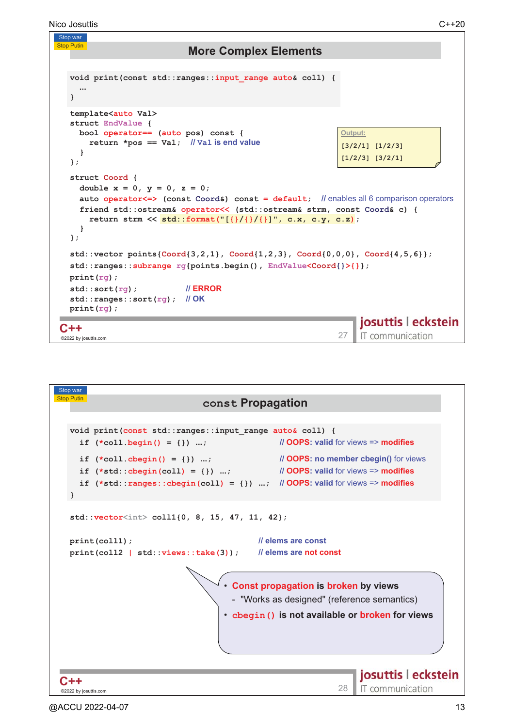```
Nico Josuttis C++20
```


| Stop war                                                                                  |                                                                                                                                                                                        |
|-------------------------------------------------------------------------------------------|----------------------------------------------------------------------------------------------------------------------------------------------------------------------------------------|
| <b>Stop Putin</b>                                                                         | const Propagation                                                                                                                                                                      |
|                                                                                           |                                                                                                                                                                                        |
| void print (const std:: ranges:: input range auto& coll) {<br>if $(*coll.begin() = {}) ;$ | <i>Il</i> OOPS: valid for views => modifies                                                                                                                                            |
| if $(*coll.cbegin() = {}) ;$<br>if $(*std::cbegin(coll) = {}\) ;$<br>ł                    | <b><i>Il</i> OOPS:</b> no member cbegin() for views<br><i>II</i> OOPS: valid for views => modifies<br>if $(*std::ranges::cbegin(coll) = {}\) ; \n// OOPS: valid for views => modifies$ |
| $std::vector col11{0, 8, 15, 47, 11, 42};$                                                |                                                                                                                                                                                        |
| print(coll1);                                                                             | // elems are const<br>print(coll2   std::views::take(3)); // elems are not const                                                                                                       |
|                                                                                           | • Const propagation is broken by views<br>- "Works as designed" (reference semantics)<br>• cbegin () is not available or broken for views                                              |
| ©2022 by josuttis.com                                                                     | josuttis   eckstein<br>IT communication<br>28                                                                                                                                          |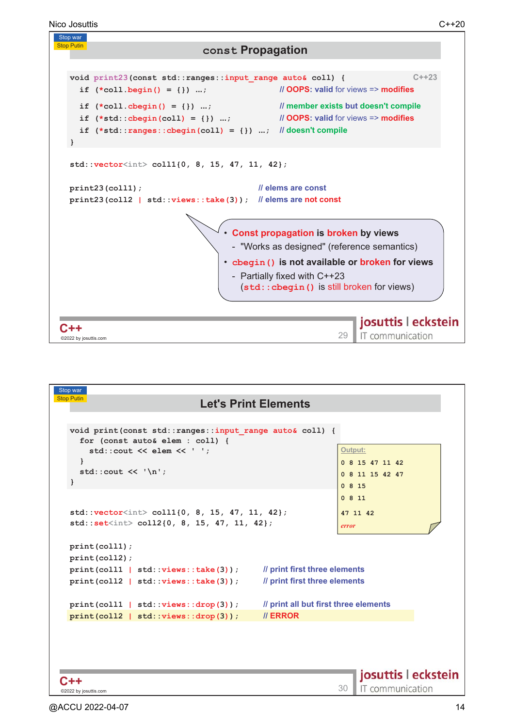

| Stop war                                                                                                                     |                                                                |
|------------------------------------------------------------------------------------------------------------------------------|----------------------------------------------------------------|
| <b>Stop Putin</b>                                                                                                            | <b>Let's Print Elements</b>                                    |
| void print (const std:: ranges:: input range auto& coll) {<br>for (const auto& elem : coll) {<br>std:: cout << elem << $'$ ; | Output:                                                        |
| ₹.<br>std::cout $\lt\lt'$ '\n';<br>ł                                                                                         | 0 8 15 47 11 42<br>0 8 11 15 42 47<br>0815                     |
| std::vector <int> coll1{0, 8, 15, 47, 11, 42};<br/><math>std::set<int> col12{0, 8, 15, 47, 11, 42};</int></math></int>       | 0811<br>47 11 42<br>error                                      |
| print(coll1);<br>print(coll2);<br>print(coll1   std::views::take(3));<br>print(coll2   std::views::take(3));                 | // print first three elements<br>// print first three elements |
| print(coll1   std::views::drop(3));<br>print(coll2   std::views::drop(3));                                                   | // print all but first three elements<br>// ERROR              |
|                                                                                                                              | josuttis   eckstein                                            |
| @2022 by josuttis.com                                                                                                        | IT communication<br>$30$ $\blacksquare$                        |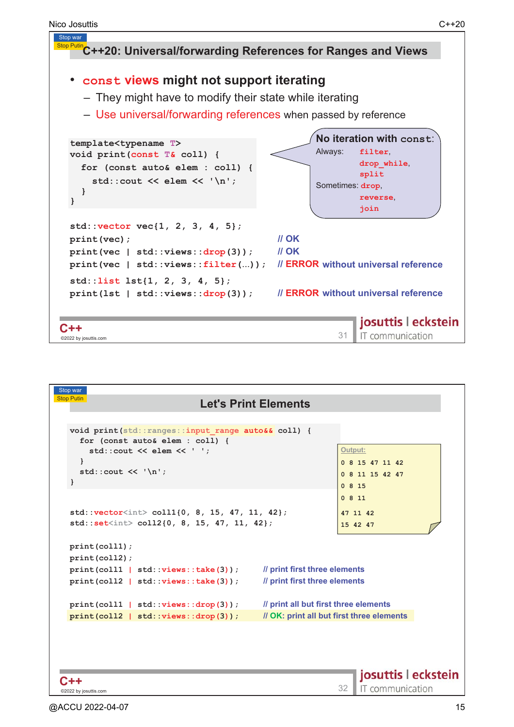

```
_<br>©2022 by josuttis
C + + \overline{ } 31 \overline{ } 3222 by iosuttis.com
C++
```

| Stop war                                                                              |                                           |
|---------------------------------------------------------------------------------------|-------------------------------------------|
| Stop Putin<br><b>Let's Print Elements</b>                                             |                                           |
|                                                                                       |                                           |
| void print(std::ranges::input range auto&& coll) {<br>for (const auto& elem : coll) { |                                           |
| $std::count \ll elem \ll '':$                                                         | Output:                                   |
| ł                                                                                     | 0 8 15 47 11 42                           |
| std::cout $\lt\lt' \ \ln'$ ;                                                          | 0 8 11 15 42 47                           |
| ł                                                                                     | 0815                                      |
|                                                                                       | 0811                                      |
| $std::vector10, 8, 15, 47, 11, 42};$                                                  | 47 11 42                                  |
| $std::set col12{0, 8, 15, 47, 11, 42};$                                               | 15 42 47                                  |
| print(coll1);                                                                         |                                           |
| print(coll2);                                                                         |                                           |
| // print first three elements<br>print(coll1   std::views::take(3));                  |                                           |
| // print first three elements<br>print(coll2   std::views::take(3));                  |                                           |
|                                                                                       |                                           |
| // print all but first three elements<br>print(coll1   std::views::drop(3));          |                                           |
| print(coll2   std::views::drop(3));                                                   | // OK: print all but first three elements |
|                                                                                       |                                           |
|                                                                                       |                                           |
|                                                                                       |                                           |
|                                                                                       | josuttis   eckstein                       |
| C++                                                                                   | IT communication<br>32                    |
| ©2022 by josuttis.com                                                                 |                                           |

IT communication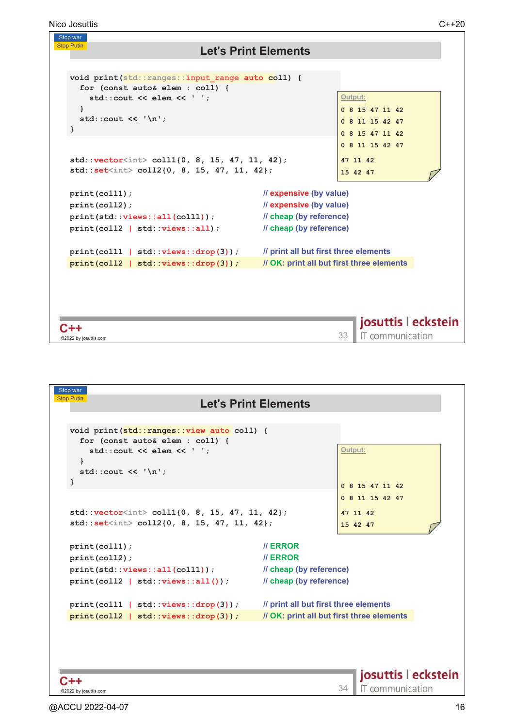Nico Josuttis C++20

#### Stop war **Stop Putin Let's Print Elements void print(std::ranges::input\_range auto coll) { for (const auto& elem : coll) { std::cout << elem << ' '; <u>Output:</u> } 0 8 15 47 11 42**  std::cout << '\n'; **0 8 11 15 42 47 } 0 8 15 47 11 42 0 8 11 15 42 47 std::vector<int> coll1{0, 8, 15, 47, 11, 42}; 47 11 42 std::set<int> coll2{0, 8, 15, 47, 11, 42}; 15 42 47 print(coll1); expensive (by value) print(coll2); expensive (by value) print(std::views::all(coll1)); cheap (by reference) print(coll2 | std::views::all); cheap (by reference) print(coll1 | std::views::drop(3)); <u>print all but first three elements</u> print(coll2 | std::views::drop(3)); OK: print all but first three elements** josuttis | eckstein  $C++$ C++ <sup>23</sup><br>©2022 by iosuttis.com 33 IT communication ©2022 by josuttis

| Stop war<br><b>Stop Putin</b>                                                                                                                   |                                                                                          |
|-------------------------------------------------------------------------------------------------------------------------------------------------|------------------------------------------------------------------------------------------|
|                                                                                                                                                 | <b>Let's Print Elements</b>                                                              |
| void print(std::ranges::view auto coll) {<br>for (const auto& elem : coll) {<br>$std::count \ll elem \ll '':$<br>std::cout $\lt\lt'$ '\n';<br>ł | Output:<br>0 8 15 47 11 42                                                               |
| $std::vector col11{0, 8, 15, 47, 11, 42};$<br>$std::setot> coll2{0, 8, 15, 47, 11, 42};$                                                        | 0 8 11 15 42 47<br>47 11 42<br>15 42 47                                                  |
| print(coll1);<br>print(coll2);<br>$print(std::views::all(coll1))$ ;<br>$print(coll2   std::views::all())$ ;                                     | <b>II ERROR</b><br><b>II ERROR</b><br>// cheap (by reference)<br>// cheap (by reference) |
| print(coll1   std::views::drop(3));<br>print(coll2   std::views::drop(3));                                                                      | // print all but first three elements<br>// OK: print all but first three elements       |
| ©2022 by josuttis.com                                                                                                                           | josuttis   eckstein<br>IT communication<br>34                                            |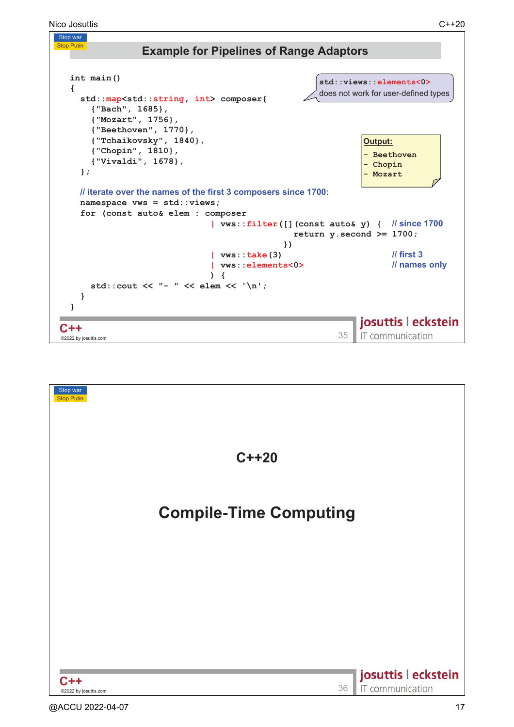

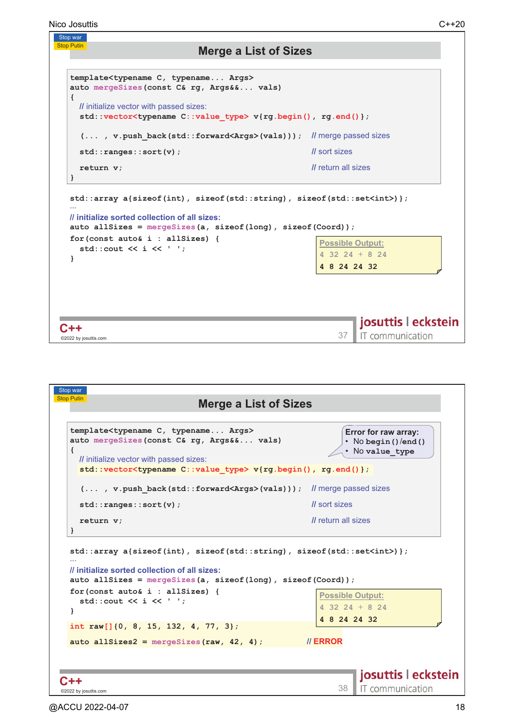

| Stop war<br><b>Stop Putin</b>                                                                                                                                                                                                                                  |                                                                   |
|----------------------------------------------------------------------------------------------------------------------------------------------------------------------------------------------------------------------------------------------------------------|-------------------------------------------------------------------|
| <b>Merge a List of Sizes</b>                                                                                                                                                                                                                                   |                                                                   |
| template <typename args="" c,="" typename=""><br/>auto mergeSizes (const C&amp; rg, Args&amp;&amp; vals)<br/>Ł<br/><i>II</i> initialize vector with passed sizes:<br/>std::vector<typename c::value="" type=""> v{rg.begin(), rg.end()};</typename></typename> | Error for raw array:<br>• No begin () / end ()<br>. No value type |
| (, v. push back (std:: forward <args>(vals))); // merge passed sizes</args>                                                                                                                                                                                    |                                                                   |
| std::ranges::sort(v);                                                                                                                                                                                                                                          | <i>Il</i> sort sizes                                              |
| return v;<br>ł                                                                                                                                                                                                                                                 | <i>Il</i> return all sizes                                        |
| std::array a{sizeof(int), sizeof(std::string), sizeof(std::set <int>)};<br/>// initialize sorted collection of all sizes:<br/>auto allSizes = <math>mergeSizes(a, sizeof(long), sizeof(Coord));</math></int>                                                   |                                                                   |
| $for (const auto & i : all sizes)$ {<br>std::cout $\lt\lt i \lt\lt'$ '';                                                                                                                                                                                       | <b>Possible Output:</b><br>$4$ 32 24 + 8 24<br>4 8 24 24 32       |
| int raw[] $\{0, 8, 15, 132, 4, 77, 3\};$                                                                                                                                                                                                                       |                                                                   |
| auto allSizes $2$ = mergeSizes (raw, 42, 4);                                                                                                                                                                                                                   | <b>II ERROR</b>                                                   |
|                                                                                                                                                                                                                                                                |                                                                   |
|                                                                                                                                                                                                                                                                |                                                                   |
|                                                                                                                                                                                                                                                                | josuttis   eckstein<br>IT communication                           |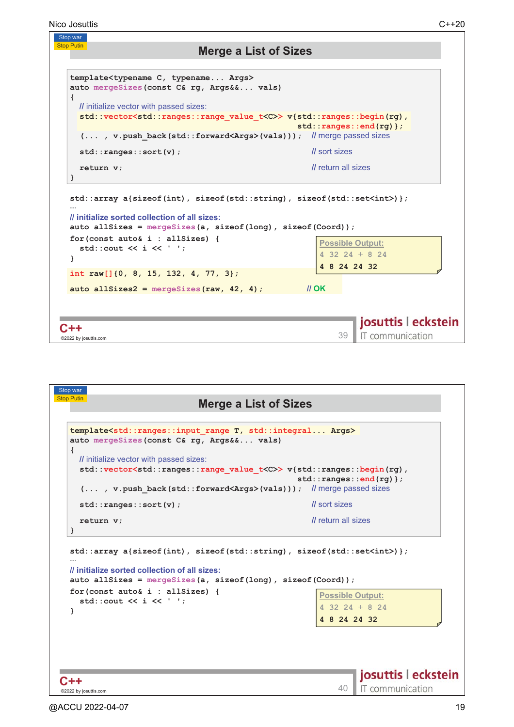

| <b>Stop Putin</b><br><b>Merge a List of Sizes</b>                                                                                                                                             |                                                   |
|-----------------------------------------------------------------------------------------------------------------------------------------------------------------------------------------------|---------------------------------------------------|
| template <std::ranges::input args="" range="" std::integral="" t,=""><br/>auto mergeSizes (const C&amp; rg, Args&amp;&amp; vals)<br/>€</std::ranges::input>                                   |                                                   |
| <i>II</i> initialize vector with passed sizes:                                                                                                                                                |                                                   |
| std::vector <std::ranges::range value_t<c="">&gt;v{std::ranges::begin(rg),</std::ranges::range>                                                                                               |                                                   |
| (, v.push back(std::forward <args>(vals))); // merge passed sizes</args>                                                                                                                      | $std::ranges::end(rg)$ ;                          |
| std::ranges::sort(v);                                                                                                                                                                         | <i>Il</i> sort sizes                              |
| return v;                                                                                                                                                                                     | <i>Il</i> return all sizes                        |
| ł<br>$std::array a {size of (int), size of (std::string), size of (std::set(int)) }$                                                                                                          |                                                   |
|                                                                                                                                                                                               |                                                   |
| // initialize sorted collection of all sizes:<br>auto allSizes = $mergeSizes(a, sizeof(long), sizeof(Coord));$<br>for (const auto& $i :$ allSizes) {<br>std::cout $\lt\lt i \lt\lt'$ '';<br>Y | <b>Possible Output:</b><br>$4$ 32 24 + 8 24       |
|                                                                                                                                                                                               | 4 8 24 24 32                                      |
|                                                                                                                                                                                               | josuttis   eckstein<br>IT communication<br>$40-1$ |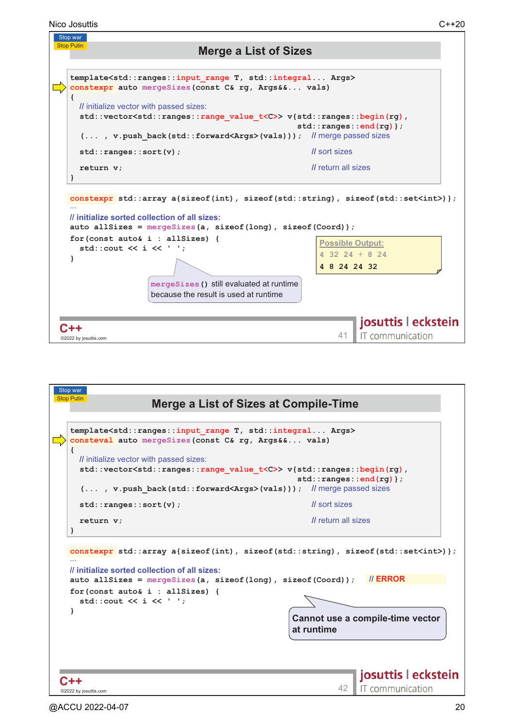

| Stop war                                                                                                                                                                                                                                                                       |                                                |
|--------------------------------------------------------------------------------------------------------------------------------------------------------------------------------------------------------------------------------------------------------------------------------|------------------------------------------------|
| <b>Stop Putin</b><br><b>Merge a List of Sizes at Compile-Time</b>                                                                                                                                                                                                              |                                                |
|                                                                                                                                                                                                                                                                                |                                                |
| template <std::ranges::input args="" range="" std::integral="" t,=""><br/>consteval auto mergeSizes (const C&amp; rg, Args&amp;&amp; vals)</std::ranges::input>                                                                                                                |                                                |
| <i>II</i> initialize vector with passed sizes:                                                                                                                                                                                                                                 |                                                |
| std::vector <std::ranges::range value_t<c="">&gt;v{std::ranges::begin(rg),</std::ranges::range>                                                                                                                                                                                | $std::ranges::end(rg)$ ;                       |
| (, v.push back(std::forward <args>(vals))); // merge passed sizes</args>                                                                                                                                                                                                       |                                                |
| std::ranges::sort(v);                                                                                                                                                                                                                                                          | <i>Il</i> sort sizes                           |
| return v;                                                                                                                                                                                                                                                                      | <i>Il</i> return all sizes                     |
| constexpr std::array a{sizeof(int), sizeof(std::string), sizeof(std::set <int>)};<br/>// initialize sorted collection of all sizes:<br/>auto all Sizes = <math>mergeSizes(a, sizeof(long), sizeof(Cord));</math><br/><math>for (const auto &amp; i : all sizes)</math> {</int> | // ERROR                                       |
| std::cout $\lt\lt i \lt\lt'$ '';                                                                                                                                                                                                                                               |                                                |
|                                                                                                                                                                                                                                                                                | Cannot use a compile-time vector<br>at runtime |
|                                                                                                                                                                                                                                                                                |                                                |
| ©2022 by josuttis.com                                                                                                                                                                                                                                                          | josuttis   eckstein<br>IT communication        |
|                                                                                                                                                                                                                                                                                |                                                |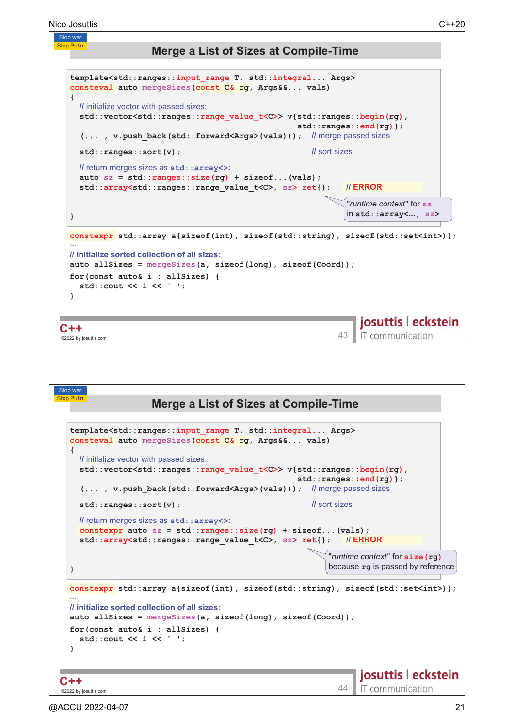

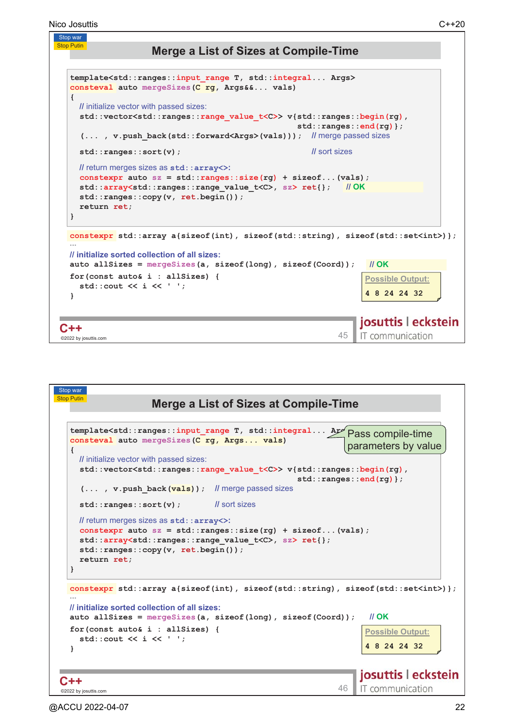**Stop Putin** 

## **Merge a List of Sizes at Compile-Time**

```
template<std::ranges::input_range T, std::integral... Args>
  consteval auto mergeSizes(C rg, Args&&... vals)
  {
     II initialize vector with passed sizes:
    std::vector<std::ranges::range_value_t<C>> v{std::ranges::begin(rg),
                                                         std::ranges::end(rg)};
     (... , v.push_back(std::forward<Args>(vals))); 

#

D

    std::ranges::sort(v); 
                                                               sort sizes
     \blacksquare return merges sizes as \texttt{std}:\texttt{array}>> \texttt{max}\text{constexpr} auto \text{sz} = \text{std}::\text{range}s::\text{size}(\text{rq}) + \text{size}of...(\text{vals});
    std::array<std::ranges::range_value_t<C>, sz> ret{};

$-
    std::ranges::copy(v, ret.begin());
    return ret;
  }
  constexpr std::array a{sizeof(int), sizeof(std::string), sizeof(std::set<int>)}; \blacksquare // initialize sorted collection of all sizes:
  auto allSizes = mergeSizes(a, sizeof(long), sizeof(Coord));

$-
  for(const auto& i : allSizes) {
                                                                          <u> Possible Output:</u>
    std::cout << i << ' ';
                                                                          4 8 24 24 32
  }
                                                                         josuttis | eckstein
C++C + + .45 expansion and 45 expansion 45IT communication
_<br>©2022 by josuttis
```

| Stop war<br><b>Stop Putin</b><br><b>Merge a List of Sizes at Compile-Time</b>                                                                                                                                                                                                                                                                                                                                                                                     |
|-------------------------------------------------------------------------------------------------------------------------------------------------------------------------------------------------------------------------------------------------------------------------------------------------------------------------------------------------------------------------------------------------------------------------------------------------------------------|
| template <std::ranges::input_range ar="" compile-time<br="" pass="" std::integral="" t,="">consteval auto mergeSizes (C rg, Args vals)<br/>parameters by value<br/><i>II</i> initialize vector with passed sizes:<br/>std::vector<std::ranges::range t<c="" value="">&gt; v{std::ranges::begin(rg),<br/>std::ranges::end(rg)};<br/><math>(\ldots, v.</math> push back <math>(vals)</math> ; If merge passed sizes</std::ranges::range></std::ranges::input_range> |
| <i>Il</i> sort sizes<br>std::ranges::sort(v);<br>// return merges sizes as std:: array<>:<br>constexpr auto $sz = std::range::size(rq) + sizeof (vals);$<br>std::array <std::ranges::range value_t<c="">, sz&gt; ret{};<br/><math>std::ranges::copy(v, ret.begin())</math>;<br/>return ret;</std::ranges::range>                                                                                                                                                  |
| constexpr std::array a{sizeof(int), sizeof(std::string), sizeof(std::set <int>)};<br/><i>Il</i> initialize sorted collection of all sizes:<br/><math>\mathcal{U}</math> OK<br/>auto all Sizes = <math>mergeSizes(a, sizeof(long), sizeof(Coord));</math><br/>for (const auto&amp; i : allSizes) {<br/><b>Possible Output:</b><br/>std::cout <math>\lt\lt i \lt\lt'</math> '';<br/>4 8 24 24 32</int>                                                              |
| josuttis   eckstein<br>IT communication<br>46<br>©2022 by josuttis.com                                                                                                                                                                                                                                                                                                                                                                                            |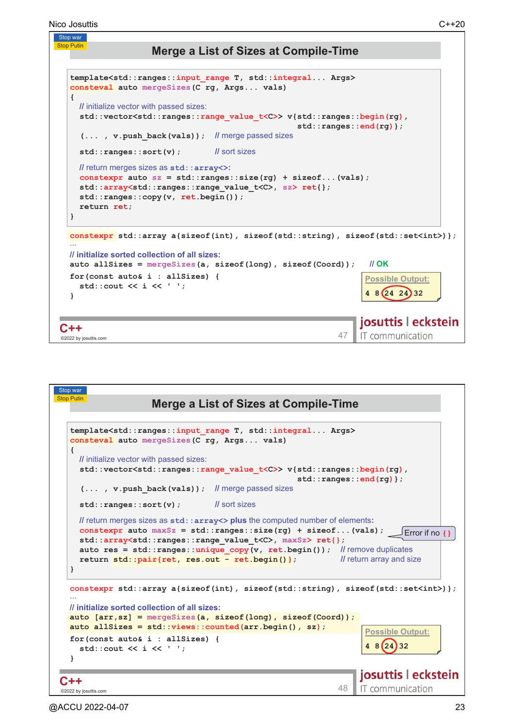```
Stop war
Nico Josuttis C++20
```
**Stop Putin** 

# **Merge a List of Sizes at Compile-Time**

```
template<std::ranges::input_range T, std::integral... Args>
   consteval auto mergeSizes(C rg, Args... vals)
   {
      II initialize vector with passed sizes:
      std::vector<std::ranges::range_value_t<C>> v{std::ranges::begin(rg),
                                                                          std::ranges::end(rg)};
       (... , v.push_back(vals)); 

#

D

      std::ranges::sort(v); 
                                                  sort sizes
      \blacksquare return merges sizes as \texttt{std}:\texttt{array}>> \texttt{max}\text{constexpr} auto \text{sz} = \text{std::ranges::size(rq) + sizeof...}(vals);std::array<std::ranges::range_value_t<C>, sz> ret{};
     std::ranges::copy(v, ret.begin());
     return ret;
   }
  constexpr std::array a{sizeof(int), sizeof(std::string), sizeof(std::set<int>)};
   \blacksquare // initialize sorted collection of all sizes:
  auto allSizes = mergeSizes(a, sizeof(long), sizeof(Coord)); 
                                                                                                $-
   for(const auto& i : allSizes) {
                                                                                               <u> Possible Output:</u>
      std::cout << i << ' ';
                                                                                               4 8 24 24 32
   }
                                                                                             josuttis | eckstein
C++C + + \overline{ } \overline{ } \overline{ } \overline{ } \overline{ } \overline{ } \overline{ } \overline{ } \overline{ } \overline{ } \overline{ } \overline{ } \overline{ } \overline{ } \overline{ } \overline{ } \overline{ } \overline{ } \overline{ } \overline{ } \overline{ } \overline{ } \overline{ } \overline{ } \overline{ } \overline{ } \overline{IT communication
©2022 by josuttis
```
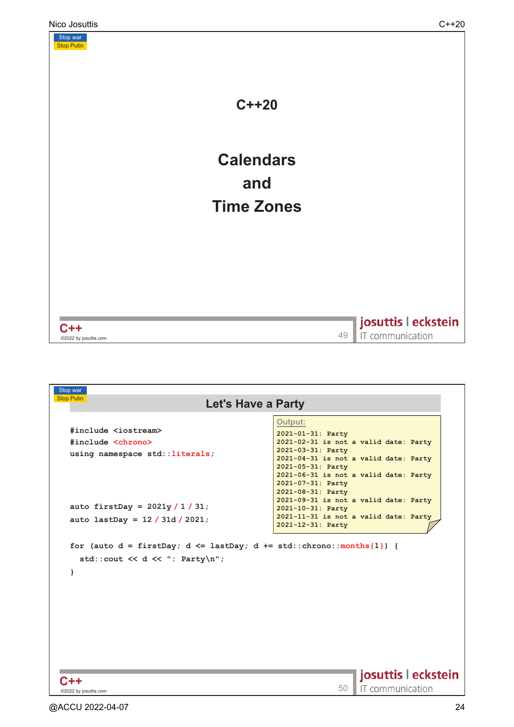

| Stop war<br><b>Stop Putin</b><br><b>Let's Have a Party</b>                                                                                                  |                                                            |
|-------------------------------------------------------------------------------------------------------------------------------------------------------------|------------------------------------------------------------|
|                                                                                                                                                             | Output:                                                    |
| #include <iostream></iostream>                                                                                                                              | 2021-01-31: Party                                          |
| #include <chrono></chrono>                                                                                                                                  | 2021-02-31 is not a valid date: Party                      |
| using namespace std:: literals;                                                                                                                             | 2021-03-31: Party                                          |
|                                                                                                                                                             | 2021-04-31 is not a valid date: Party<br>2021-05-31: Party |
|                                                                                                                                                             | 2021-06-31 is not a valid date: Party                      |
|                                                                                                                                                             | 2021-07-31: Party                                          |
|                                                                                                                                                             | 2021-08-31: Party                                          |
| auto firstDay = $2021y / 1 / 31$ ;                                                                                                                          | 2021-09-31 is not a valid date: Party<br>2021-10-31: Party |
|                                                                                                                                                             | 2021-11-31 is not a valid date: Party                      |
|                                                                                                                                                             |                                                            |
|                                                                                                                                                             | 2021-12-31: Party                                          |
| auto lastDay = $12 / 31d / 2021$ ;<br>for (auto $d = firstDay$ ; $d \leq lastDay$ ; $d += std::chrono::months{1})$ {<br>std::cout << d << ": Party\n";<br>ł |                                                            |
|                                                                                                                                                             |                                                            |
|                                                                                                                                                             |                                                            |
|                                                                                                                                                             |                                                            |
|                                                                                                                                                             |                                                            |
|                                                                                                                                                             |                                                            |
|                                                                                                                                                             |                                                            |
|                                                                                                                                                             |                                                            |
|                                                                                                                                                             | josuttis   eckstein<br>IT communication                    |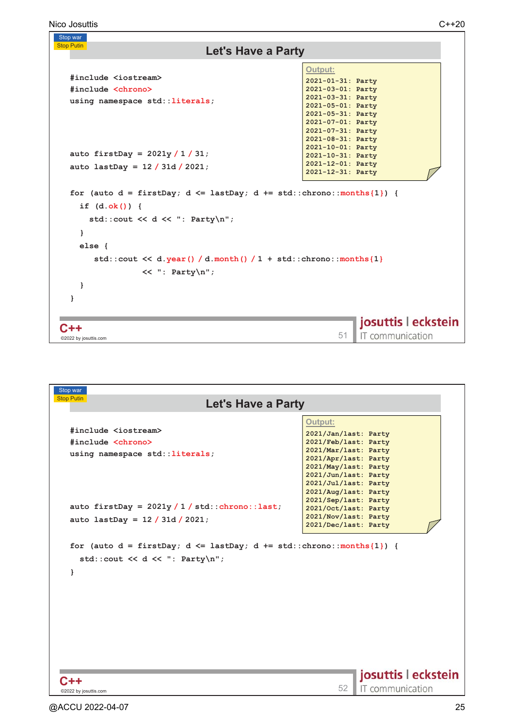Nico Josuttis C++20

```
Stop war
Stop Putin
                                  Let's Have a Party
                                                        Output:
  #include <iostream>
                                                        2021-01-31: Party
  #include <chrono>
                                                        2021-03-01: Party
                                                        2021-03-31: Party
  using namespace std::literals;
                                                        2021-05-01: Party
                                                        2021-05-31: Party
                                                        2021-07-01: Party
                                                        2021-07-31: Party
                                                        2021-08-31: Party
                                                        2021-10-01: Party
  auto firstDay = 2021y / 1 / 31;
                                                        2021-10-31: Party
                                                        2021-12-01: Party
  auto lastDay = 12 / 31d / 2021;
                                                        2021-12-31: Party
  for (auto d = \text{firstDay}; d \leq \text{lastDay}; d += \text{std::chrono::months{1}}) {
     if (d.ok()) { 
       std::cout << d << ": Party\n";
     }
     else {
        std::cout << d.year() / d.month() / 1 + std::chrono::months{1}
                   << ": Party\n";
     }
  }
                                                                    josuttis | eckstein
C++C++\,<sup>02</sup>22 by iosuttis.com 51
                                                                     IT communication
 ©2022 by josuttis
```

| Stop war                                                                                                              |                                              |
|-----------------------------------------------------------------------------------------------------------------------|----------------------------------------------|
| <b>Stop Putin</b><br><b>Let's Have a Party</b>                                                                        |                                              |
|                                                                                                                       | Output:                                      |
| #include <iostream></iostream>                                                                                        |                                              |
|                                                                                                                       | 2021/Jan/last: Party                         |
| #include <chrono></chrono>                                                                                            | 2021/Feb/last: Party<br>2021/Mar/last: Party |
| using namespace std:: literals;                                                                                       | 2021/Apr/last: Party                         |
|                                                                                                                       | 2021/May/last: Party                         |
|                                                                                                                       | 2021/Jun/last: Party                         |
|                                                                                                                       | 2021/Jul/last: Party                         |
|                                                                                                                       | 2021/Aug/last: Party                         |
| auto firstDay = $2021y / 1 / std::chrono::last;$                                                                      | 2021/Sep/last: Party                         |
|                                                                                                                       | 2021/Oct/last: Party                         |
| auto lastDay = $12 / 31d / 2021$ ;                                                                                    | 2021/Nov/last: Party<br>2021/Dec/last: Party |
|                                                                                                                       |                                              |
| for (auto $d = firstDay$ ; $d \leq lastDay$ ; $d += std::chrono::months{1})$ {<br>std::cout << d << ": Party\n";<br>ł |                                              |
|                                                                                                                       |                                              |
| C++                                                                                                                   | josuttis   eckstein                          |
| ©2022 by josuttis.com                                                                                                 | IT communication<br>52                       |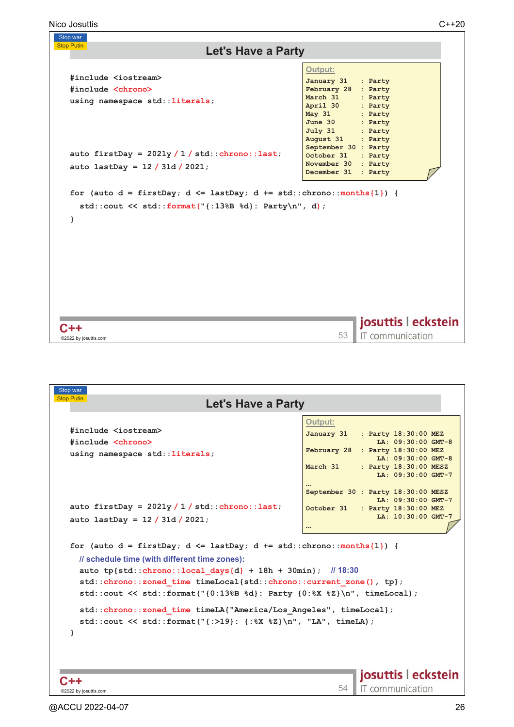| Stop war                                                                                                                                    |                                                                                                                                       |  |
|---------------------------------------------------------------------------------------------------------------------------------------------|---------------------------------------------------------------------------------------------------------------------------------------|--|
| <b>Stop Putin</b><br><b>Let's Have a Party</b>                                                                                              |                                                                                                                                       |  |
| #include <iostream></iostream>                                                                                                              | <b>Output:</b>                                                                                                                        |  |
| #include <chrono></chrono>                                                                                                                  | January 31<br>: Party<br>February 28<br>: Party                                                                                       |  |
| using namespace std:: literals;                                                                                                             | March 31<br>: Party<br>April 30<br>: Party<br>May 31<br>: Party<br>June $30$<br>: Party<br>July 31<br>: Party<br>August 31<br>: Party |  |
| auto firstDay = $2021y / 1 / std::chrono::last;$                                                                                            | September 30 : Party<br>October 31<br>: Party                                                                                         |  |
| auto lastDay = $12 / 31d / 2021$ ;                                                                                                          | November 30 : Party<br>December 31<br>: Party                                                                                         |  |
| for (auto $d = firstDay$ ; $d \leq lastDay$ ; $d += std::chromo::months{1}$ ) {<br>std::cout << std::format(" $\{$ :13%B %d}: Party\n", d); |                                                                                                                                       |  |
| ł                                                                                                                                           |                                                                                                                                       |  |
|                                                                                                                                             |                                                                                                                                       |  |
|                                                                                                                                             |                                                                                                                                       |  |
|                                                                                                                                             |                                                                                                                                       |  |
|                                                                                                                                             | josuttis   eckstein                                                                                                                   |  |
| ©2022 by josuttis.com                                                                                                                       | IT communication<br>53                                                                                                                |  |

| Stop war                                                                                                                                                                                                                                                                                                                                               |                                                                                                                                                                                                                                       |  |
|--------------------------------------------------------------------------------------------------------------------------------------------------------------------------------------------------------------------------------------------------------------------------------------------------------------------------------------------------------|---------------------------------------------------------------------------------------------------------------------------------------------------------------------------------------------------------------------------------------|--|
| <b>Stop Putin</b><br><b>Let's Have a Party</b>                                                                                                                                                                                                                                                                                                         |                                                                                                                                                                                                                                       |  |
| #include <iostream><br/>#include <chrono><br/>using namespace std:: literals;</chrono></iostream>                                                                                                                                                                                                                                                      | <b>Output:</b><br>January 31<br>: Party 18:30:00 MEZ<br>LA: 09:30:00 GMT-8<br>February 28 : Party 18:30:00 MEZ<br>LA: 09:30:00 GMT-8<br>March 31<br>: Party 18:30:00 MESZ<br>LA: 09:30:00 GMT-7<br>September 30 : Party 18:30:00 MESZ |  |
| auto firstDay = $2021y / 1 / std::chrono::last;$<br>auto lastDay = $12 / 31d / 2021$ ;                                                                                                                                                                                                                                                                 | LA: 09:30:00 GMT-7<br>October 31 : Party 18:30:00 MEZ<br>LA: 10:30:00 GMT-7<br>$\cdots$                                                                                                                                               |  |
| for (auto $d = firstDay$ ; $d \leq lastDay$ ; $d += std::chrono::months{1}$ ) {<br>// schedule time (with different time zones):<br>auto tp{std::chrono::local days{d} + 18h + 30min}; $\frac{1}{30}$<br>std::chrono::zoned time timeLocal{std::chrono::current zone(), tp};<br>std::cout << std::format("{0:13%B %d}: Party {0:%X %Z}\n", timeLocal); |                                                                                                                                                                                                                                       |  |
| std:: chrono:: zoned time timeLA{"America/Los Angeles", timeLocal};<br>std::cout << std::format("{:>19}: {:%X %Z}\n", "LA", timeLA);<br>ł                                                                                                                                                                                                              |                                                                                                                                                                                                                                       |  |
| @2022 by josuttis.com                                                                                                                                                                                                                                                                                                                                  | josuttis   eckstein<br>IT communication<br>54                                                                                                                                                                                         |  |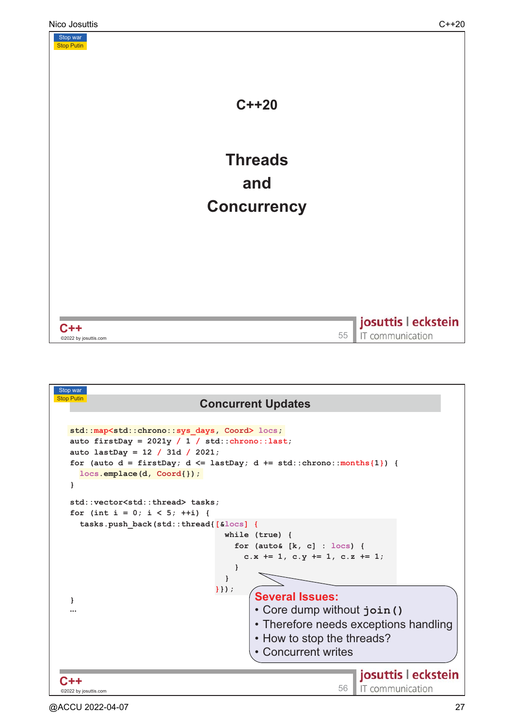

| <b>Stop Putin</b><br><b>Concurrent Updates</b><br>std::map <std::chrono::sys coord="" days,=""> locs;<br/>auto firstDay = <math>2021y / 1 / std::chrono::last;</math><br/>auto lastDay = <math>12 / 31d / 2021</math>;<br/>for (auto <math>d = \text{firstDay}</math>; <math>d \leq \text{lastDay}</math>; <math>d \neq \text{std}</math>: chrono: : months {1}) {<br/><math>locs.</math>emplace(d, <math>Coord\{\}</math>);<br/>std::vector<std::thread> tasks;<br/>for (int i = 0; i &lt; 5; ++i) {<br/>tasks.push back(std::thread{[&amp;locs]{<br/>while <math>(true)</math> {<br/>for (auto&amp; <math>[k, c]</math> : locs) {<br/>c.x += 1, c.y += 1, c.z += 1;<br/>}<br/><math>\mathbf{r}</math><br/><math>\{\}</math>);<br/><b>Several Issues:</b></std::thread></std::chrono::sys> |
|---------------------------------------------------------------------------------------------------------------------------------------------------------------------------------------------------------------------------------------------------------------------------------------------------------------------------------------------------------------------------------------------------------------------------------------------------------------------------------------------------------------------------------------------------------------------------------------------------------------------------------------------------------------------------------------------------------------------------------------------------------------------------------------------|
|                                                                                                                                                                                                                                                                                                                                                                                                                                                                                                                                                                                                                                                                                                                                                                                             |
|                                                                                                                                                                                                                                                                                                                                                                                                                                                                                                                                                                                                                                                                                                                                                                                             |
|                                                                                                                                                                                                                                                                                                                                                                                                                                                                                                                                                                                                                                                                                                                                                                                             |
|                                                                                                                                                                                                                                                                                                                                                                                                                                                                                                                                                                                                                                                                                                                                                                                             |
|                                                                                                                                                                                                                                                                                                                                                                                                                                                                                                                                                                                                                                                                                                                                                                                             |
|                                                                                                                                                                                                                                                                                                                                                                                                                                                                                                                                                                                                                                                                                                                                                                                             |
|                                                                                                                                                                                                                                                                                                                                                                                                                                                                                                                                                                                                                                                                                                                                                                                             |
|                                                                                                                                                                                                                                                                                                                                                                                                                                                                                                                                                                                                                                                                                                                                                                                             |
|                                                                                                                                                                                                                                                                                                                                                                                                                                                                                                                                                                                                                                                                                                                                                                                             |
|                                                                                                                                                                                                                                                                                                                                                                                                                                                                                                                                                                                                                                                                                                                                                                                             |
|                                                                                                                                                                                                                                                                                                                                                                                                                                                                                                                                                                                                                                                                                                                                                                                             |
|                                                                                                                                                                                                                                                                                                                                                                                                                                                                                                                                                                                                                                                                                                                                                                                             |
|                                                                                                                                                                                                                                                                                                                                                                                                                                                                                                                                                                                                                                                                                                                                                                                             |
|                                                                                                                                                                                                                                                                                                                                                                                                                                                                                                                                                                                                                                                                                                                                                                                             |
|                                                                                                                                                                                                                                                                                                                                                                                                                                                                                                                                                                                                                                                                                                                                                                                             |
|                                                                                                                                                                                                                                                                                                                                                                                                                                                                                                                                                                                                                                                                                                                                                                                             |
| • Core dump without join ()                                                                                                                                                                                                                                                                                                                                                                                                                                                                                                                                                                                                                                                                                                                                                                 |
| • Therefore needs exceptions handling                                                                                                                                                                                                                                                                                                                                                                                                                                                                                                                                                                                                                                                                                                                                                       |
| • How to stop the threads?                                                                                                                                                                                                                                                                                                                                                                                                                                                                                                                                                                                                                                                                                                                                                                  |
| • Concurrent writes                                                                                                                                                                                                                                                                                                                                                                                                                                                                                                                                                                                                                                                                                                                                                                         |
|                                                                                                                                                                                                                                                                                                                                                                                                                                                                                                                                                                                                                                                                                                                                                                                             |
| josuttis   eckstein                                                                                                                                                                                                                                                                                                                                                                                                                                                                                                                                                                                                                                                                                                                                                                         |
| IT communication<br>56<br>©2022 by josuttis.com                                                                                                                                                                                                                                                                                                                                                                                                                                                                                                                                                                                                                                                                                                                                             |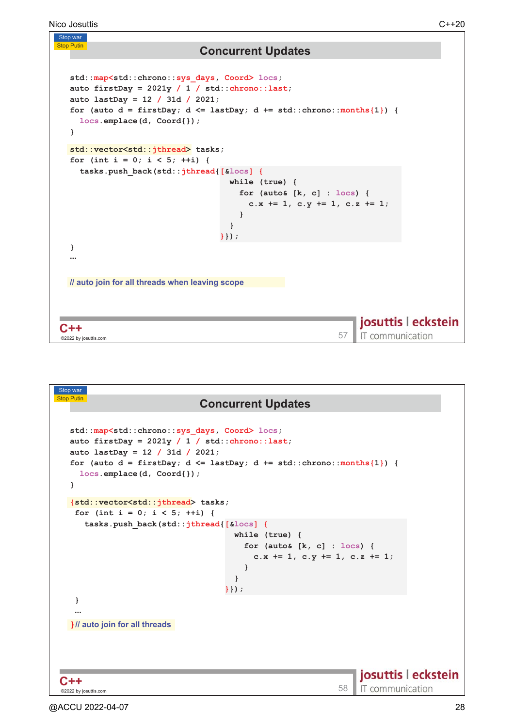```
Stop war
Stop Putin
                               Concurrent Updates
  std::map<std::chrono::sys_days, Coord> locs;
  auto firstDay = 2021y / 1 / std::chrono::last;
  auto lastDay = 12 / 31d / 2021;
  for (auto d = \text{firstDay}; d \leq \text{lastDay}; d += \text{std::chrono::months{1}}) {
    locs.emplace(d, Coord{});
  }
  std::vector<std::jthread> tasks;
  for (int i = 0; i < 5; ++i) {
    tasks.push_back(std::jthread{[&locs] {
                                     while (true) {
                                       for (auto& [k, c] : locs) {
                                         c.x += 1, c.y += 1, c.z += 1;
                                       }
                                     }
                                   }});
  }
  
   // auto join for all threads when leaving scope
                                                                 josuttis | eckstein
C++C++\frac{}{\infty} by insultis.com 57IT communication
 ©2022 by josuttis
```

| Stop war                                                                                                                                                                                                                                                                                                                                                                                        |                                                                                                                                |  |  |
|-------------------------------------------------------------------------------------------------------------------------------------------------------------------------------------------------------------------------------------------------------------------------------------------------------------------------------------------------------------------------------------------------|--------------------------------------------------------------------------------------------------------------------------------|--|--|
| <b>Stop Putin</b><br><b>Concurrent Updates</b>                                                                                                                                                                                                                                                                                                                                                  |                                                                                                                                |  |  |
|                                                                                                                                                                                                                                                                                                                                                                                                 |                                                                                                                                |  |  |
| std:: map <std:: chrono::="" coord="" days,="" sys=""> locs;<br/>auto firstDay = <math>2021y / 1 / std::chrono::last;</math><br/>auto lastDay = <math>12 / 31d / 2021</math>;<br/>for (auto <math>d = \text{firstDay}</math>; <math>d \leq \text{lastDay}</math>; <math>d += \text{std}</math>::chrono::months{1}) {<br/><math>\texttt{locs.employee}(d, \texttt{Coord})</math> ;<br/>Ł</std::> |                                                                                                                                |  |  |
| {std::vector <std::jthread> tasks;</std::jthread>                                                                                                                                                                                                                                                                                                                                               |                                                                                                                                |  |  |
| for (int i = 0; i < 5; ++i) {                                                                                                                                                                                                                                                                                                                                                                   |                                                                                                                                |  |  |
| tasks.push back(std::jthread[[&locs] {                                                                                                                                                                                                                                                                                                                                                          | while $(true)$ {<br>for (auto& $[k, c]$ : locs) {<br>c.x $+= 1$ , c.y $+= 1$ , c.z $+= 1$ ;<br>$\mathbf{r}$<br>ł<br>$\}$ } ) ; |  |  |
| ł                                                                                                                                                                                                                                                                                                                                                                                               |                                                                                                                                |  |  |
|                                                                                                                                                                                                                                                                                                                                                                                                 |                                                                                                                                |  |  |
| }// auto join for all threads                                                                                                                                                                                                                                                                                                                                                                   |                                                                                                                                |  |  |
| C++                                                                                                                                                                                                                                                                                                                                                                                             | josuttis   eckstein                                                                                                            |  |  |
| ©2022 by josuttis.com                                                                                                                                                                                                                                                                                                                                                                           | IT communication<br>58                                                                                                         |  |  |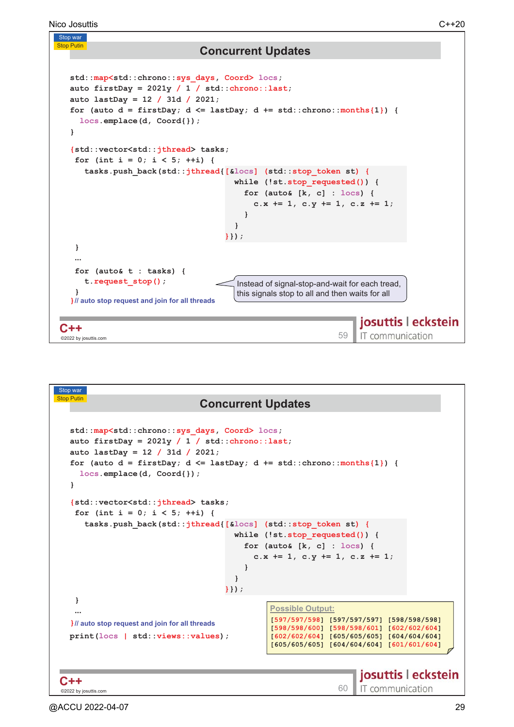Stop war **Stop Putin Concurrent Updates std::map<std::chrono::sys\_days, Coord> locs; auto firstDay = 2021y / 1 / std::chrono::last; auto lastDay = 12 / 31d / 2021;** for (auto  $d = \text{firstDay}$ ;  $d \leq \text{lastDay}$ ;  $d += \text{std::chrono::months{1}}$ ) { **locs.emplace(d, Coord{}); } {std::vector<std::jthread> tasks; for (int i = 0; i < 5; ++i) { tasks.push\_back(std::jthread{[&locs] (std::stop\_token st) { while (!st.stop\_requested()) { for (auto& [k, c] : locs) { c.x += 1, c.y += 1, c.z += 1; } } }}); } for (auto& t : tasks) { t.request\_stop();** Instead of signal-stop-and-wait for each tread, **}** this signals stop to all and then waits for all **)** *ll* auto stop request and join for all threads josuttis | eckstein  $C++$  . **-**IT communication ©2022 by josuttis

| Stop war                                                                                                                                                                                                                                                                                                                                                                                     |                                                                                                                                                                                                             |
|----------------------------------------------------------------------------------------------------------------------------------------------------------------------------------------------------------------------------------------------------------------------------------------------------------------------------------------------------------------------------------------------|-------------------------------------------------------------------------------------------------------------------------------------------------------------------------------------------------------------|
| <b>Stop Putin</b>                                                                                                                                                                                                                                                                                                                                                                            | <b>Concurrent Updates</b>                                                                                                                                                                                   |
|                                                                                                                                                                                                                                                                                                                                                                                              |                                                                                                                                                                                                             |
| std:: map <std:: chrono::="" coord="" days,="" sys=""> locs;<br/>auto firstDay = <math>2021y / 1 / std::chrono::last;</math><br/>auto lastDay = <math>12 / 31d / 2021</math>;<br/>for (auto <math>d = \text{firstDay}</math>; <math>d \leq \text{lastDay}</math>; <math>d += \text{std::chrono::months{1}}</math>) {<br/><math>locs.</math>emplace(d, <math>Coord\{\}</math>);<br/>ł</std::> |                                                                                                                                                                                                             |
| {std::vector <std::jthread> tasks;<br/>for (int i = 0; i &lt; 5; ++i) {</std::jthread>                                                                                                                                                                                                                                                                                                       |                                                                                                                                                                                                             |
| tasks.push back(std::jthread{[&locs] (std::stop token st) {<br>ł<br>$\{\}$ );                                                                                                                                                                                                                                                                                                                | while (!st.stop requested()) {<br>for (auto& $[k, c]$ : locs) {<br>c.x $+= 1$ , c.y $+= 1$ , c.z $+= 1$ ;                                                                                                   |
| ł<br><br>}// auto stop request and join for all threads<br>print(locs   std:: views:: values);                                                                                                                                                                                                                                                                                               | <b>Possible Output:</b><br>[597/597/598] [597/597/597] [598/598/598]<br>[598/598/600] [598/598/601] [602/602/604]<br>[602/602/604] [605/605/605] [604/604/604]<br>[605/605/605] [604/604/604] [601/601/604] |
| ©2022 by josuttis.com                                                                                                                                                                                                                                                                                                                                                                        | josuttis   eckstein<br>IT communication<br>60                                                                                                                                                               |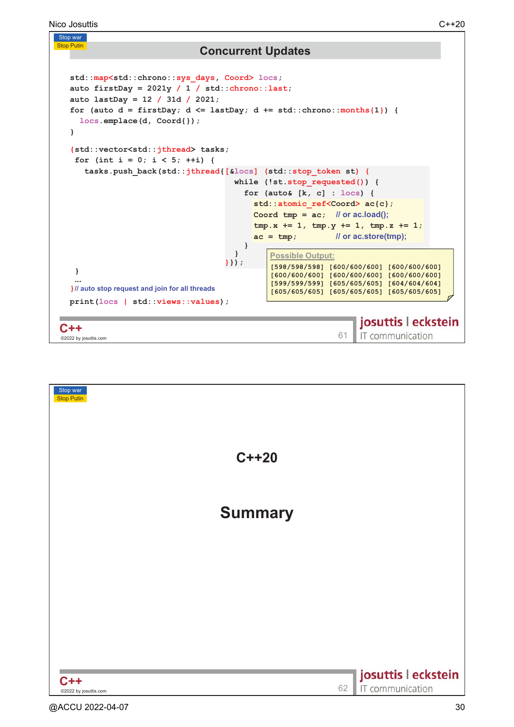```
Stop war
Stop Putin
                                 Concurrent Updates
  std::map<std::chrono::sys_days, Coord> locs;
  auto firstDay = 2021y / 1 / std::chrono::last;
  auto lastDay = 12 / 31d / 2021;
  for (auto d = \text{firstDay}; d \leq \text{lastDay}; d \neq \text{std}: chrono:: months\{1\}) {
     locs.emplace(d, Coord{});
  }
   {std::vector<std::jthread> tasks;
    for (int i = 0; i < 5; ++i) {
      tasks.push_back(std::jthread{[&locs] (std::stop_token st) {
                                        while (!st.stop_requested()) {
                                           for (auto& [k, c] : locs) {
                                             std::atomic_ref<Coord> ac{c};
                                             Coord tmp = ac; // or ac.load();
                                             tmp.x += 1, tmp.y += 1, tmp.z += 1;
                                             ac = tmp; 
                                                                  or ac.store(tmp);
                                          }
                                        }
                                                 <u>Possible Output:</u>
                                      }});
                                                 [598/598/598] [600/600/600] [600/600/600] 
    }
                                                 [600/600/600] [600/600/600] [600/600/600] 
                                                 [599/599/599] [605/605/605] [604/604/604] 
    
   } // auto stop request and join for all threads
                                                 [605/605/605] [605/605/605] [605/605/605]
  print(locs | std::views::values);
                                                                     josuttis | eckstein
C++C++ 63<br>
C 2022 by iosuttis.com 6
                                                                     IT communication
 ©2022 by josuttis
```